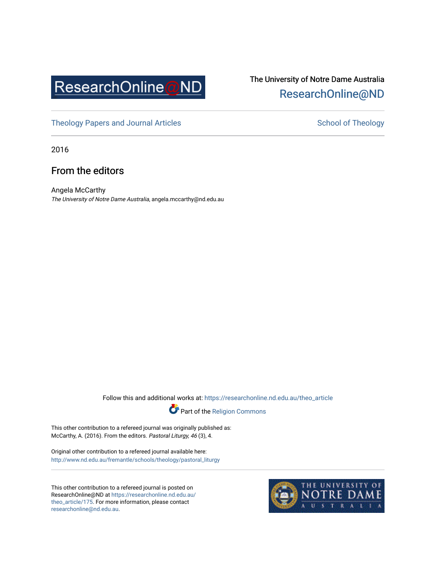

# The University of Notre Dame Australia [ResearchOnline@ND](https://researchonline.nd.edu.au/)

[Theology Papers and Journal Articles](https://researchonline.nd.edu.au/theo_article) and [School of Theology](https://researchonline.nd.edu.au/theo) School of Theology

2016

## From the editors

Angela McCarthy The University of Notre Dame Australia, angela.mccarthy@nd.edu.au

Follow this and additional works at: [https://researchonline.nd.edu.au/theo\\_article](https://researchonline.nd.edu.au/theo_article?utm_source=researchonline.nd.edu.au%2Ftheo_article%2F175&utm_medium=PDF&utm_campaign=PDFCoverPages) 



This other contribution to a refereed journal was originally published as: McCarthy, A. (2016). From the editors. Pastoral Liturgy, 46 (3), 4.

Original other contribution to a refereed journal available here: [http://www.nd.edu.au/fremantle/schools/theology/pastoral\\_liturgy](http://www.nd.edu.au/fremantle/schools/theology/pastoral_liturgy) 

This other contribution to a refereed journal is posted on ResearchOnline@ND at [https://researchonline.nd.edu.au/](https://researchonline.nd.edu.au/theo_article/175) [theo\\_article/175](https://researchonline.nd.edu.au/theo_article/175). For more information, please contact [researchonline@nd.edu.au.](mailto:researchonline@nd.edu.au)

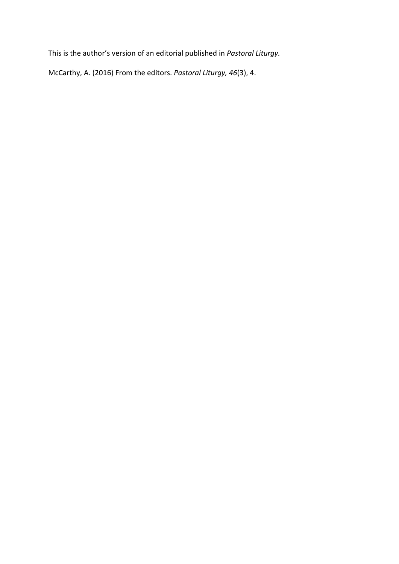This is the author's version of an editorial published in *Pastoral Liturgy.*

McCarthy, A. (2016) From the editors. *Pastoral Liturgy, 46*(3), 4.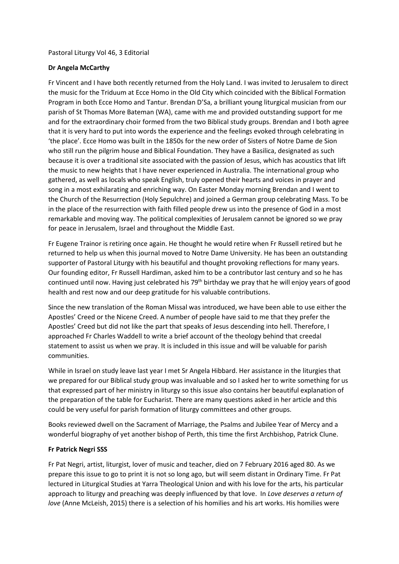#### Pastoral Liturgy Vol 46, 3 Editorial

### **Dr Angela McCarthy**

Fr Vincent and I have both recently returned from the Holy Land. I was invited to Jerusalem to direct the music for the Triduum at Ecce Homo in the Old City which coincided with the Biblical Formation Program in both Ecce Homo and Tantur. Brendan D'Sa, a brilliant young liturgical musician from our parish of St Thomas More Bateman (WA), came with me and provided outstanding support for me and for the extraordinary choir formed from the two Biblical study groups. Brendan and I both agree that it is very hard to put into words the experience and the feelings evoked through celebrating in 'the place'. Ecce Homo was built in the 1850s for the new order of Sisters of Notre Dame de Sion who still run the pilgrim house and Biblical Foundation. They have a Basilica, designated as such because it is over a traditional site associated with the passion of Jesus, which has acoustics that lift the music to new heights that I have never experienced in Australia. The international group who gathered, as well as locals who speak English, truly opened their hearts and voices in prayer and song in a most exhilarating and enriching way. On Easter Monday morning Brendan and I went to the Church of the Resurrection (Holy Sepulchre) and joined a German group celebrating Mass. To be in the place of the resurrection with faith filled people drew us into the presence of God in a most remarkable and moving way. The political complexities of Jerusalem cannot be ignored so we pray for peace in Jerusalem, Israel and throughout the Middle East.

Fr Eugene Trainor is retiring once again. He thought he would retire when Fr Russell retired but he returned to help us when this journal moved to Notre Dame University. He has been an outstanding supporter of Pastoral Liturgy with his beautiful and thought provoking reflections for many years. Our founding editor, Fr Russell Hardiman, asked him to be a contributor last century and so he has continued until now. Having just celebrated his 79<sup>th</sup> birthday we pray that he will enjoy years of good health and rest now and our deep gratitude for his valuable contributions.

Since the new translation of the Roman Missal was introduced, we have been able to use either the Apostles' Creed or the Nicene Creed. A number of people have said to me that they prefer the Apostles' Creed but did not like the part that speaks of Jesus descending into hell. Therefore, I approached Fr Charles Waddell to write a brief account of the theology behind that creedal statement to assist us when we pray. It is included in this issue and will be valuable for parish communities.

While in Israel on study leave last year I met Sr Angela Hibbard. Her assistance in the liturgies that we prepared for our Biblical study group was invaluable and so I asked her to write something for us that expressed part of her ministry in liturgy so this issue also contains her beautiful explanation of the preparation of the table for Eucharist. There are many questions asked in her article and this could be very useful for parish formation of liturgy committees and other groups.

Books reviewed dwell on the Sacrament of Marriage, the Psalms and Jubilee Year of Mercy and a wonderful biography of yet another bishop of Perth, this time the first Archbishop, Patrick Clune.

#### **Fr Patrick Negri SSS**

Fr Pat Negri, artist, liturgist, lover of music and teacher, died on 7 February 2016 aged 80. As we prepare this issue to go to print it is not so long ago, but will seem distant in Ordinary Time. Fr Pat lectured in Liturgical Studies at Yarra Theological Union and with his love for the arts, his particular approach to liturgy and preaching was deeply influenced by that love. In *Love deserves a return of love* (Anne McLeish, 2015) there is a selection of his homilies and his art works. His homilies were